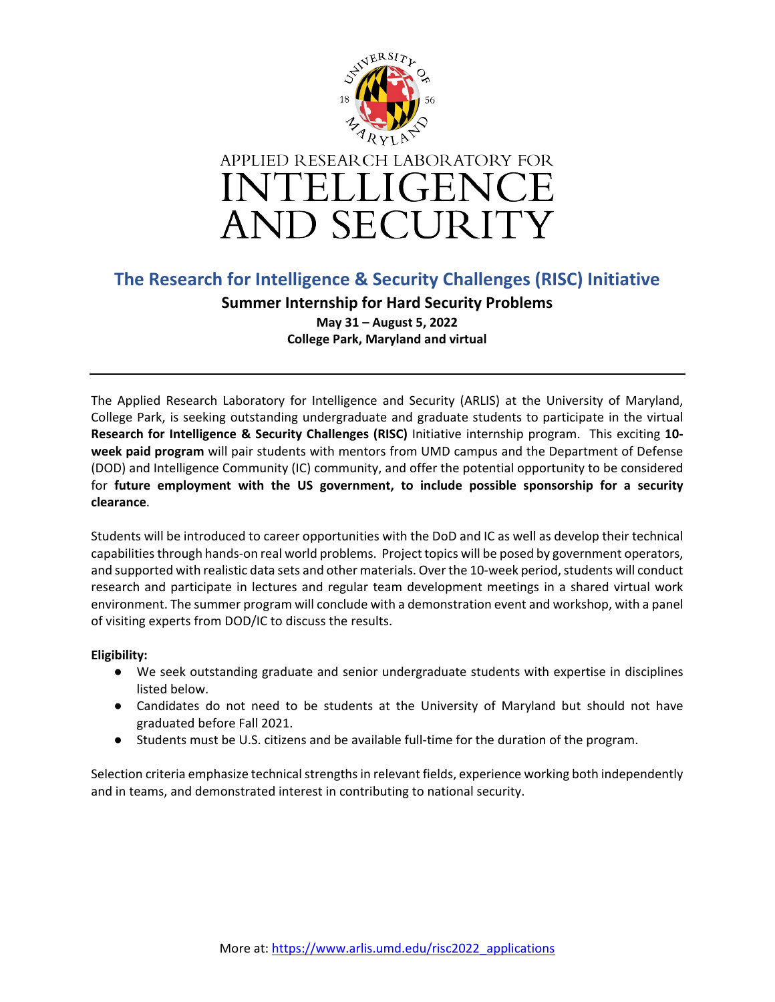

## **The Research for Intelligence & Security Challenges (RISC) Initiative**

**Summer Internship for Hard Security Problems May 31 – August 5, 2022 College Park, Maryland and virtual**

The Applied Research Laboratory for Intelligence and Security (ARLIS) at the University of Maryland, College Park, is seeking outstanding undergraduate and graduate students to participate in the virtual **Research for Intelligence & Security Challenges (RISC)** Initiative internship program. This exciting **10 week paid program** will pair students with mentors from UMD campus and the Department of Defense (DOD) and Intelligence Community (IC) community, and offer the potential opportunity to be considered for **future employment with the US government, to include possible sponsorship for a security clearance**.

Students will be introduced to career opportunities with the DoD and IC as well as develop their technical capabilities through hands-on real world problems. Project topics will be posed by government operators, and supported with realistic data sets and other materials. Over the 10-week period, students will conduct research and participate in lectures and regular team development meetings in a shared virtual work environment. The summer program will conclude with a demonstration event and workshop, with a panel of visiting experts from DOD/IC to discuss the results.

## **Eligibility:**

- We seek outstanding graduate and senior undergraduate students with expertise in disciplines listed below.
- Candidates do not need to be students at the University of Maryland but should not have graduated before Fall 2021.
- Students must be U.S. citizens and be available full-time for the duration of the program.

Selection criteria emphasize technical strengths in relevant fields, experience working both independently and in teams, and demonstrated interest in contributing to national security.